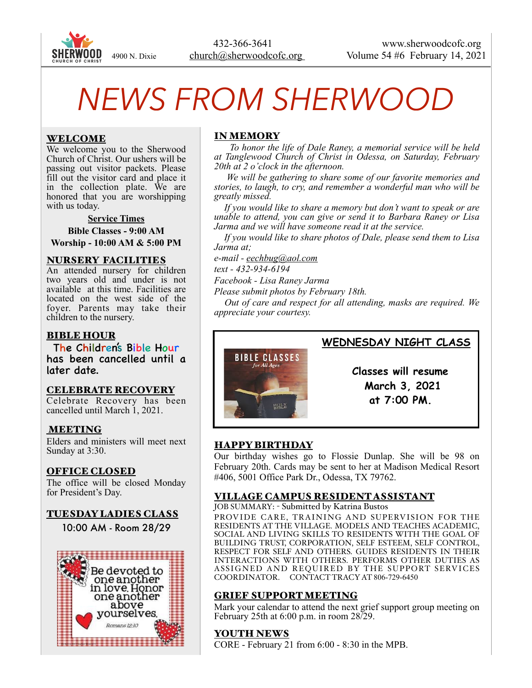

# *NEWS FROM SHERWOOD*

## WELCOME

We welcome you to the Sherwood Church of Christ. Our ushers will be passing out visitor packets. Please fill out the visitor card and place it in the collection plate. We are honored that you are worshipping with us today.

#### **Service Times**

**Bible Classes - 9:00 AM Worship - 10:00 AM & 5:00 PM** 

#### NURSERY FACILITIES

An attended nursery for children two years old and under is not available at this time. Facilities are located on the west side of the foyer. Parents may take their children to the nursery.

## BIBLE HOUR

The Children's Bible Hour has been cancelled until a later date.

### CELEBRATE RECOVERY

Celebrate Recovery has been cancelled until March 1, 2021.

### MEETING

Elders and ministers will meet next Sunday at 3:30.

### OFFICE CLOSED

The office will be closed Monday for President's Day.

### TUESDAY LADIES CLASS

10:00 AM - Room 28/29



# IN MEMORY

*To honor the life of Dale Raney, a memorial service will be held at Tanglewood Church of Christ in Odessa, on Saturday, February 20th at 2 o'clock in the afternoon.* 

*We will be gathering to share some of our favorite memories and stories, to laugh, to cry, and remember a wonderful man who will be greatly missed.* 

*If you would like to share a memory but don't want to speak or are unable to attend, you can give or send it to Barbara Raney or Lisa Jarma and we will have someone read it at the service.* 

*If you would like to share photos of Dale, please send them to Lisa Jarma at;* 

*e-mail - [eechbug@aol.com](mailto:eechbug@aol.com)*

*text - 432-934-6194* 

*Facebook - Lisa Raney Jarma* 

*Please submit photos by February 18th.* 

*Out of care and respect for all attending, masks are required. We appreciate your courtesy.*



# **WEDNESDAY NIGHT CLASS**

 **Classes will resume March 3, 2021 at 7:00 PM.**

# HAPPY BIRTHDAY

Our birthday wishes go to Flossie Dunlap. She will be 98 on February 20th. Cards may be sent to her at Madison Medical Resort #406, 5001 Office Park Dr., Odessa, TX 79762.

# VILLAGE CAMPUS RESIDENT ASSISTANT

JOB SUMMARY: - Submitted by Katrina Bustos PROVIDE CARE, TRAINING AND SUPERVISION FOR THE RESIDENTS AT THE VILLAGE. MODELS AND TEACHES ACADEMIC, SOCIAL AND LIVING SKILLS TO RESIDENTS WITH THE GOAL OF BUILDING TRUST, CORPORATION, SELF ESTEEM, SELF CONTROL, RESPECT FOR SELF AND OTHERS. GUIDES RESIDENTS IN THEIR INTERACTIONS WITH OTHERS. PERFORMS OTHER DUTIES AS ASSIGNED AND REQUIRED BY THE SUPPORT SERVICES COORDINATOR. CONTACT TRACY AT 806-729-6450

### GRIEF SUPPORT MEETING

Mark your calendar to attend the next grief support group meeting on February 25th at 6:00 p.m. in room 28/29.

# YOUTH NEWS

CORE - February 21 from 6:00 - 8:30 in the MPB.